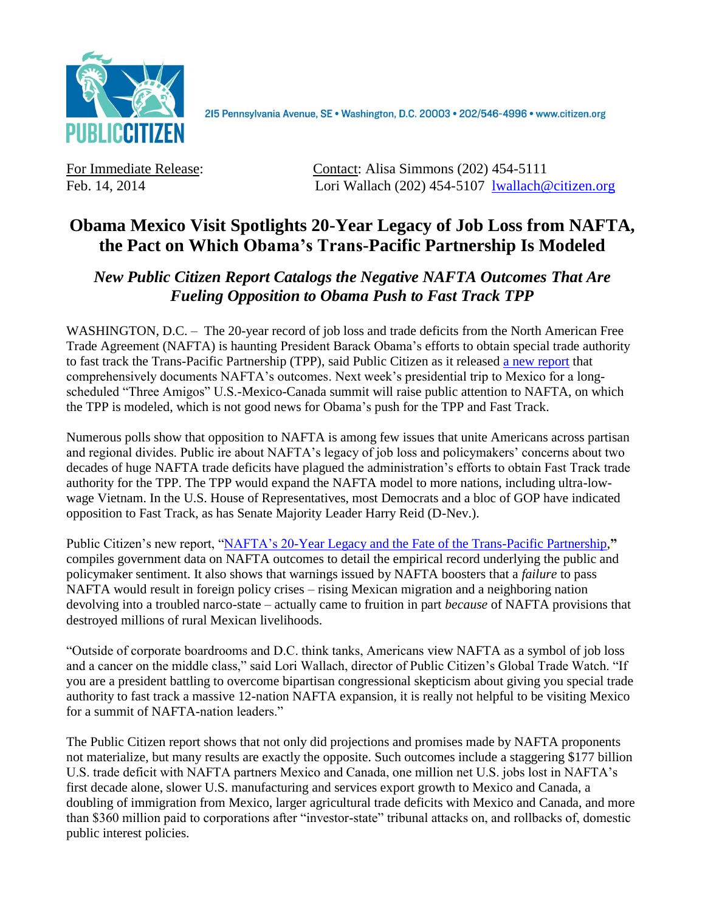

2I5 Pennsylvania Avenue, SE · Washington, D.C. 20003 · 202/546-4996 · www.citizen.org

For Immediate Release: Contact: Alisa Simmons (202) 454-5111 Feb. 14, 2014 Lori Wallach (202) 454-5107 [lwallach@citizen.org](mailto:lwallach@citizen.org)

## **Obama Mexico Visit Spotlights 20-Year Legacy of Job Loss from NAFTA, the Pact on Which Obama's Trans-Pacific Partnership Is Modeled**

## *New Public Citizen Report Catalogs the Negative NAFTA Outcomes That Are Fueling Opposition to Obama Push to Fast Track TPP*

WASHINGTON, D.C. – The 20-year record of job loss and trade deficits from the North American Free Trade Agreement (NAFTA) is haunting President Barack Obama's efforts to obtain special trade authority to fast track the Trans-Pacific Partnership (TPP), said Public Citizen as it released [a new report](http://www.citizen.org/documents/NAFTAs-20-year-legacy.pdf) that comprehensively documents NAFTA's outcomes. Next week's presidential trip to Mexico for a longscheduled "Three Amigos" U.S.-Mexico-Canada summit will raise public attention to NAFTA, on which the TPP is modeled, which is not good news for Obama's push for the TPP and Fast Track.

Numerous polls show that opposition to NAFTA is among few issues that unite Americans across partisan and regional divides. Public ire about NAFTA's legacy of job loss and policymakers' concerns about two decades of huge NAFTA trade deficits have plagued the administration's efforts to obtain Fast Track trade authority for the TPP. The TPP would expand the NAFTA model to more nations, including ultra-lowwage Vietnam. In the U.S. House of Representatives, most Democrats and a bloc of GOP have indicated opposition to Fast Track, as has Senate Majority Leader Harry Reid (D-Nev.).

Public Citizen's new report, ["NAFTA's 20-Year Legacy and the Fate of the Trans-Pacific Partnership,](http://www.citizen.org/documents/NAFTAs-20-year-legacy.pdf)**"** compiles government data on NAFTA outcomes to detail the empirical record underlying the public and policymaker sentiment. It also shows that warnings issued by NAFTA boosters that a *failure* to pass NAFTA would result in foreign policy crises – rising Mexican migration and a neighboring nation devolving into a troubled narco-state – actually came to fruition in part *because* of NAFTA provisions that destroyed millions of rural Mexican livelihoods.

"Outside of corporate boardrooms and D.C. think tanks, Americans view NAFTA as a symbol of job loss and a cancer on the middle class," said Lori Wallach, director of Public Citizen's Global Trade Watch. "If you are a president battling to overcome bipartisan congressional skepticism about giving you special trade authority to fast track a massive 12-nation NAFTA expansion, it is really not helpful to be visiting Mexico for a summit of NAFTA-nation leaders."

The Public Citizen report shows that not only did projections and promises made by NAFTA proponents not materialize, but many results are exactly the opposite. Such outcomes include a staggering \$177 billion U.S. trade deficit with NAFTA partners Mexico and Canada, one million net U.S. jobs lost in NAFTA's first decade alone, slower U.S. manufacturing and services export growth to Mexico and Canada, a doubling of immigration from Mexico, larger agricultural trade deficits with Mexico and Canada, and more than \$360 million paid to corporations after "investor-state" tribunal attacks on, and rollbacks of, domestic public interest policies.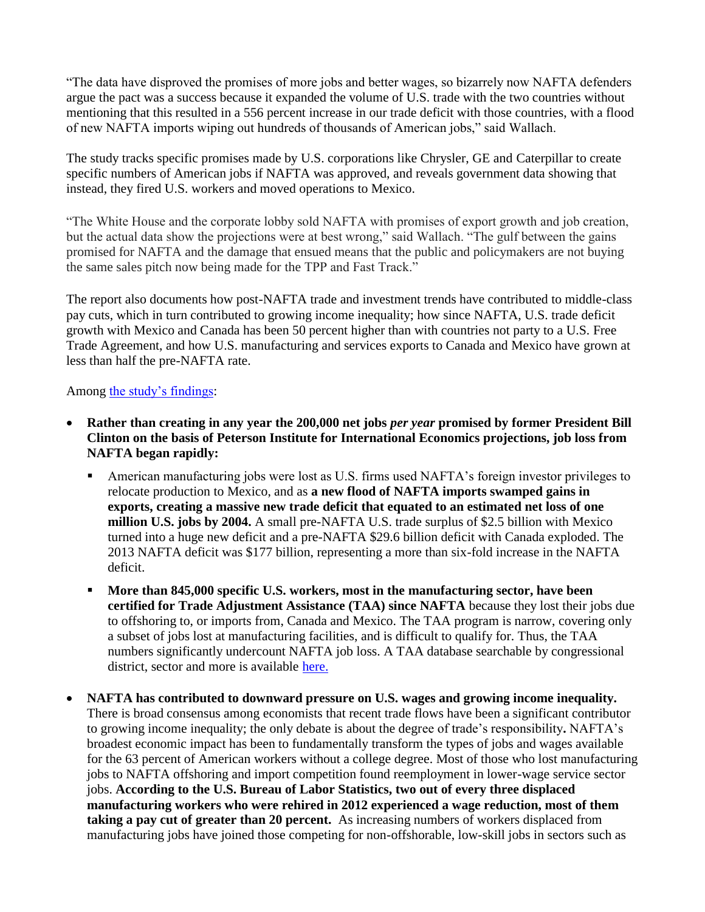"The data have disproved the promises of more jobs and better wages, so bizarrely now NAFTA defenders argue the pact was a success because it expanded the volume of U.S. trade with the two countries without mentioning that this resulted in a 556 percent increase in our trade deficit with those countries, with a flood of new NAFTA imports wiping out hundreds of thousands of American jobs," said Wallach.

The study tracks specific promises made by U.S. corporations like Chrysler, GE and Caterpillar to create specific numbers of American jobs if NAFTA was approved, and reveals government data showing that instead, they fired U.S. workers and moved operations to Mexico.

"The White House and the corporate lobby sold NAFTA with promises of export growth and job creation, but the actual data show the projections were at best wrong," said Wallach. "The gulf between the gains promised for NAFTA and the damage that ensued means that the public and policymakers are not buying the same sales pitch now being made for the TPP and Fast Track."

The report also documents how post-NAFTA trade and investment trends have contributed to middle-class pay cuts, which in turn contributed to growing income inequality; how since NAFTA, U.S. trade deficit growth with Mexico and Canada has been 50 percent higher than with countries not party to a U.S. Free Trade Agreement, and how U.S. manufacturing and services exports to Canada and Mexico have grown at less than half the pre-NAFTA rate.

## Among [the study's findings:](http://www.citizen.org/documents/NAFTAs-20-year-legacy.pdf)

- **Rather than creating in any year the 200,000 net jobs** *per year* **promised by former President Bill Clinton on the basis of Peterson Institute for International Economics projections, job loss from NAFTA began rapidly:**
	- American manufacturing jobs were lost as U.S. firms used NAFTA's foreign investor privileges to relocate production to Mexico, and as **a new flood of NAFTA imports swamped gains in exports, creating a massive new trade deficit that equated to an estimated net loss of one million U.S. jobs by 2004.** A small pre-NAFTA U.S. trade surplus of \$2.5 billion with Mexico turned into a huge new deficit and a pre-NAFTA \$29.6 billion deficit with Canada exploded. The 2013 NAFTA deficit was \$177 billion, representing a more than six-fold increase in the NAFTA deficit.
	- **More than 845,000 specific U.S. workers, most in the manufacturing sector, have been certified for Trade Adjustment Assistance (TAA) since NAFTA** because they lost their jobs due to offshoring to, or imports from, Canada and Mexico. The TAA program is narrow, covering only a subset of jobs lost at manufacturing facilities, and is difficult to qualify for. Thus, the TAA numbers significantly undercount NAFTA job loss. A TAA database searchable by congressional district, sector and more is available [here.](http://www.citizen.org/Page.aspx?pid=4323)
- **NAFTA has contributed to downward pressure on U.S. wages and growing income inequality.**  There is broad consensus among economists that recent trade flows have been a significant contributor to growing income inequality; the only debate is about the degree of trade's responsibility**.** NAFTA's broadest economic impact has been to fundamentally transform the types of jobs and wages available for the 63 percent of American workers without a college degree. Most of those who lost manufacturing jobs to NAFTA offshoring and import competition found reemployment in lower-wage service sector jobs. **According to the U.S. Bureau of Labor Statistics, two out of every three displaced manufacturing workers who were rehired in 2012 experienced a wage reduction, most of them taking a pay cut of greater than 20 percent.** As increasing numbers of workers displaced from manufacturing jobs have joined those competing for non-offshorable, low-skill jobs in sectors such as